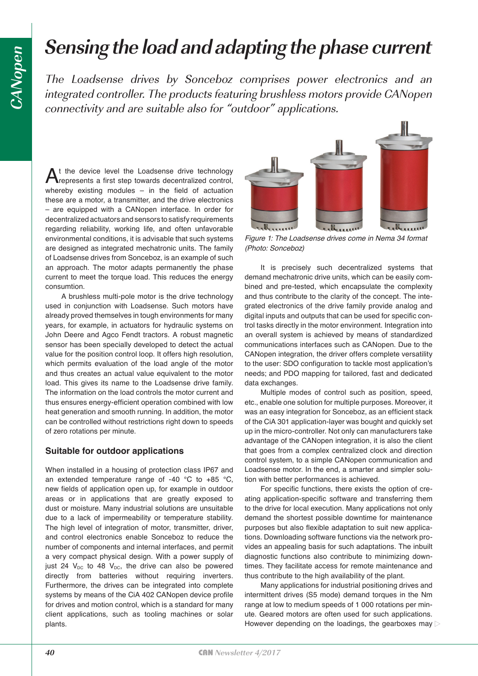# **Sensing the load and adapting the phase current**

The Loadsense drives by Sonceboz comprises power electronics and an integrated controller. The products featuring brushless motors provide CANopen connectivity and are suitable also for "outdoor" applications.

At the device level the Loadsense drive technology<br>represents a first step towards decentralized control, whereby existing modules – in the field of actuation these are a motor, a transmitter, and the drive electronics – are equipped with a CANopen interface. In order for decentralized actuators and sensors to satisfy requirements regarding reliability, working life, and often unfavorable environmental conditions, it is advisable that such systems are designed as integrated mechatronic units. The family of Loadsense drives from Sonceboz, is an example of such an approach. The motor adapts permanently the phase current to meet the torque load. This reduces the energy consumtion.

A brushless multi-pole motor is the drive technology used in conjunction with Loadsense. Such motors have already proved themselves in tough environments for many years, for example, in actuators for hydraulic systems on John Deere and Agco Fendt tractors. A robust magnetic sensor has been specially developed to detect the actual value for the position control loop. It offers high resolution, which permits evaluation of the load angle of the motor and thus creates an actual value equivalent to the motor load. This gives its name to the Loadsense drive family. The information on the load controls the motor current and thus ensures energy-efficient operation combined with low heat generation and smooth running. In addition, the motor can be controlled without restrictions right down to speeds of zero rotations per minute.

#### **Suitable for outdoor applications**

When installed in a housing of protection class IP67 and an extended temperature range of -40  $^{\circ}$ C to +85  $^{\circ}$ C, new fields of application open up, for example in outdoor areas or in applications that are greatly exposed to dust or moisture. Many industrial solutions are unsuitable due to a lack of impermeability or temperature stability. The high level of integration of motor, transmitter, driver, and control electronics enable Sonceboz to reduce the number of components and internal interfaces, and permit a very compact physical design. With a power supply of just 24  $V_{DC}$  to 48  $V_{DC}$ , the drive can also be powered directly from batteries without requiring inverters. Furthermore, the drives can be integrated into complete systems by means of the CiA 402 CANopen device profile for drives and motion control, which is a standard for many client applications, such as tooling machines or solar plants.



Figure 1: The Loadsense drives come in Nema 34 format (Photo: Sonceboz)

It is precisely such decentralized systems that demand mechatronic drive units, which can be easily combined and pre-tested, which encapsulate the complexity and thus contribute to the clarity of the concept. The integrated electronics of the drive family provide analog and digital inputs and outputs that can be used for specific control tasks directly in the motor environment. Integration into an overall system is achieved by means of standardized communications interfaces such as CANopen. Due to the CANopen integration, the driver offers complete versatility to the user: SDO configuration to tackle most application's needs; and PDO mapping for tailored, fast and dedicated data exchanges.

Multiple modes of control such as position, speed, etc., enable one solution for multiple purposes. Moreover, it was an easy integration for Sonceboz, as an efficient stack of the CiA 301 application-layer was bought and quickly set up in the micro-controller. Not only can manufacturers take advantage of the CANopen integration, it is also the client that goes from a complex centralized clock and direction control system, to a simple CANopen communication and Loadsense motor. In the end, a smarter and simpler solution with better performances is achieved.

For specific functions, there exists the option of creating application-specific software and transferring them to the drive for local execution. Many applications not only demand the shortest possible downtime for maintenance purposes but also flexible adaptation to suit new applications. Downloading software functions via the network provides an appealing basis for such adaptations. The inbuilt diagnostic functions also contribute to minimizing downtimes. They facilitate access for remote maintenance and thus contribute to the high availability of the plant.

Many applications for industrial positioning drives and intermittent drives (S5 mode) demand torques in the Nm range at low to medium speeds of 1 000 rotations per minute. Geared motors are often used for such applications. However depending on the loadings, the gearboxes may